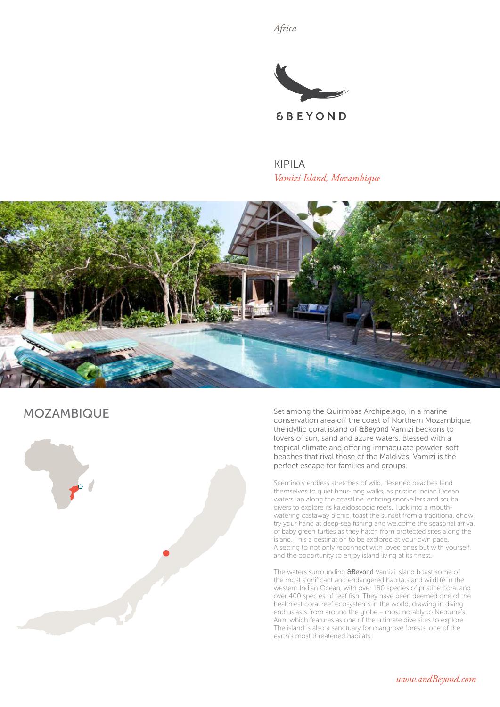*Africa*



KIPILA *Vamizi Island, Mozambique*



# MOZAMBIQUE



Set among the Quirimbas Archipelago, in a marine conservation area off the coast of Northern Mozambique, the idyllic coral island of &Beyond Vamizi beckons to lovers of sun, sand and azure waters. Blessed with a tropical climate and offering immaculate powder-soft beaches that rival those of the Maldives, Vamizi is the perfect escape for families and groups.

Seemingly endless stretches of wild, deserted beaches lend themselves to quiet hour-long walks, as pristine Indian Ocean waters lap along the coastline, enticing snorkellers and scuba divers to explore its kaleidoscopic reefs. Tuck into a mouthwatering castaway picnic, toast the sunset from a traditional dhow, try your hand at deep-sea fishing and welcome the seasonal arrival of baby green turtles as they hatch from protected sites along the island. This a destination to be explored at your own pace. A setting to not only reconnect with loved ones but with yourself, and the opportunity to enjoy island living at its finest.

The waters surrounding **&Beyond** Vamizi Island boast some of the most significant and endangered habitats and wildlife in the western Indian Ocean, with over 180 species of pristine coral and over 400 species of reef fish. They have been deemed one of the healthiest coral reef ecosystems in the world, drawing in diving enthusiasts from around the globe – most notably to Neptune's Arm, which features as one of the ultimate dive sites to explore. The island is also a sanctuary for mangrove forests, one of the earth's most threatened habitats.

*www.andBeyond.com*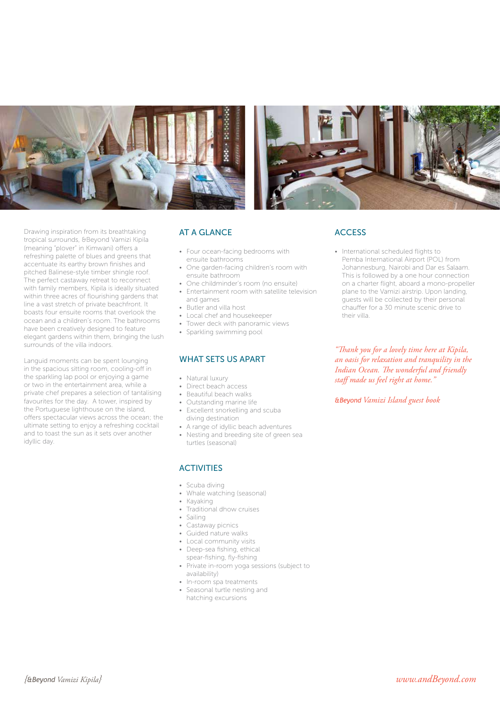



Drawing inspiration from its breathtaking tropical surrounds, &Beyond Vamizi Kipila (meaning "plover" in Kimwani) offers a refreshing palette of blues and greens that accentuate its earthy brown finishes and pitched Balinese-style timber shingle roof. The perfect castaway retreat to reconnect with family members, Kipila is ideally situated within three acres of flourishing gardens that line a vast stretch of private beachfront. It boasts four ensuite rooms that overlook the ocean and a children's room. The bathrooms have been creatively designed to feature elegant gardens within them, bringing the lush surrounds of the villa indoors.

Languid moments can be spent lounging in the spacious sitting room, cooling-off in the sparkling lap pool or enjoying a game or two in the entertainment area, while a private chef prepares a selection of tantalising favourites for the day. A tower, inspired by the Portuguese lighthouse on the island, offers spectacular views across the ocean; the ultimate setting to enjoy a refreshing cocktail and to toast the sun as it sets over another idyllic day.

# AT A GLANCE

- Four ocean-facing bedrooms with ensuite bathrooms
- One garden-facing children's room with ensuite bathroom
- One childminder's room (no ensuite)
- Entertainment room with satellite television
- and games
- Butler and villa host
- Local chef and housekeeper • Tower deck with panoramic views
- 
- Sparkling swimming pool

#### WHAT SETS US APART

- Natural luxury
- Direct beach access
- Beautiful beach walks
- Outstanding marine life
- Excellent snorkelling and scuba
- diving destination
- A range of idyllic beach adventures • Nesting and breeding site of green sea turtles (seasonal)

#### **ACTIVITIES**

- Scuba diving
- Whale watching (seasonal)
- Kayaking
- Traditional dhow cruises
- Sailing
- Castaway picnics
- Guided nature walks
- Local community visits
- Deep-sea fishing, ethical
- spear-fishing, fly-fishing
- Private in-room yoga sessions (subject to availability)
- In-room spa treatments
- Seasonal turtle nesting and hatching excursions

### **ACCESS**

• International scheduled flights to Pemba International Airport (POL) from Johannesburg, Nairobi and Dar es Salaam. This is followed by a one hour connection on a charter flight, aboard a mono-propeller plane to the Vamizi airstrip. Upon landing, guests will be collected by their personal chauffer for a 30 minute scenic drive to their villa.

*"Thank you for a lovely time here at Kipila, an oasis for relaxation and tranquility in the Indian Ocean. The wonderful and friendly staff made us feel right at home."*

*&Beyond Vamizi Island guest book*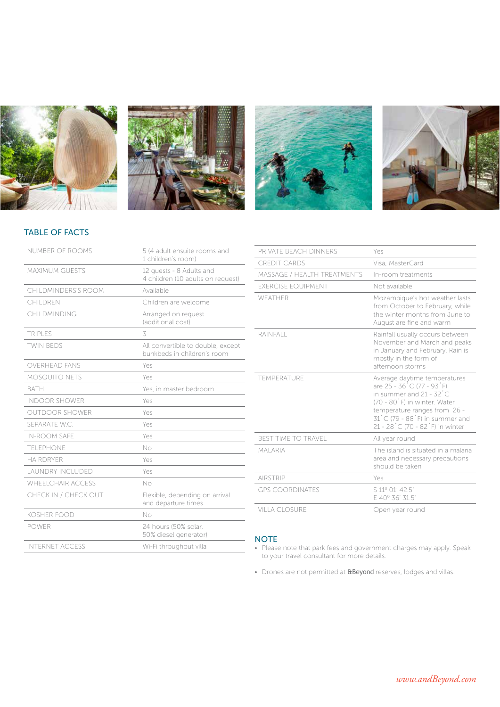







# TABLE OF FACTS

| <b>NUMBER OF ROOMS</b>   | 5 (4 adult ensuite rooms and<br>1 children's room)               |
|--------------------------|------------------------------------------------------------------|
| <b>MAXIMUM GUESTS</b>    | 12 quests - 8 Adults and<br>4 children (10 adults on request)    |
| CHILDMINDERS'S ROOM      | Available                                                        |
| CHII DREN                | Children are welcome                                             |
| CHILDMINDING             | Arranged on request<br>(additional cost)                         |
| <b>TRIPLES</b>           | 3                                                                |
| <b>TWIN BEDS</b>         | All convertible to double, except<br>bunkbeds in children's room |
| <b>OVERHEAD FANS</b>     | Yes                                                              |
| <b>MOSQUITO NETS</b>     | Yes                                                              |
| <b>BATH</b>              | Yes, in master bedroom                                           |
| <b>INDOOR SHOWER</b>     | Yes                                                              |
| <b>OUTDOOR SHOWER</b>    | Yes                                                              |
| SEPARATE W.C.            | Yes                                                              |
| <b>IN-ROOM SAFE</b>      | Yes                                                              |
| TFI FPHONE               | No                                                               |
| <b>HAIRDRYER</b>         | Yes                                                              |
| <b>LAUNDRY INCLUDED</b>  | Yes                                                              |
| <b>WHEELCHAIR ACCESS</b> | No                                                               |
| CHECK IN / CHECK OUT     | Flexible, depending on arrival<br>and departure times            |
| <b>KOSHER FOOD</b>       | No                                                               |
| <b>POWER</b>             | 24 hours (50% solar.<br>50% diesel generator)                    |
| <b>INTERNET ACCESS</b>   | Wi-Fi throughout villa                                           |

| PRIVATE BEACH DINNERS       | Yes                                                                                                                                                                                                                              |
|-----------------------------|----------------------------------------------------------------------------------------------------------------------------------------------------------------------------------------------------------------------------------|
| <b>CREDIT CARDS</b>         | Visa, MasterCard                                                                                                                                                                                                                 |
| MASSAGE / HEALTH TREATMENTS | In-room treatments                                                                                                                                                                                                               |
| <b>EXERCISE EQUIPMENT</b>   | Not available                                                                                                                                                                                                                    |
| WFATHER                     | Mozambique's hot weather lasts<br>from October to February, while<br>the winter months from June to<br>August are fine and warm                                                                                                  |
| RAINFALL                    | Rainfall usually occurs between<br>November and March and peaks<br>in January and February. Rain is<br>mostly in the form of<br>afternoon storms                                                                                 |
| TEMPERATURE                 | Average daytime temperatures<br>are 25 - 36 °C (77 - 93 °F)<br>in summer and 21 - 32 °C<br>(70 - 80°F) in winter. Water<br>temperature ranges from 26 -<br>31 °C (79 - 88 °F) in summer and<br>21 - 28 °C (70 - 82 °F) in winter |
| <b>BEST TIME TO TRAVEL</b>  | All year round                                                                                                                                                                                                                   |
| <b>MALARIA</b>              | The island is situated in a malaria<br>area and necessary precautions<br>should be taken                                                                                                                                         |
| <b>AIRSTRIP</b>             | Yes                                                                                                                                                                                                                              |
| <b>GPS COORDINATES</b>      | S 11º 01' 42.5"<br>F 40° 36' 31.5"                                                                                                                                                                                               |
| VILLA CLOSURE               | Open year round                                                                                                                                                                                                                  |

### **NOTE**

- Please note that park fees and government charges may apply. Speak to your travel consultant for more details.
- Drones are not permitted at **&Beyond** reserves, lodges and villas.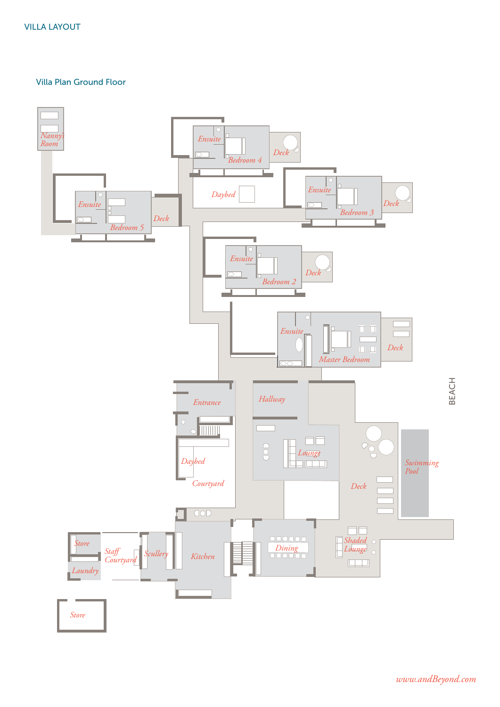### Villa Plan Ground Floor